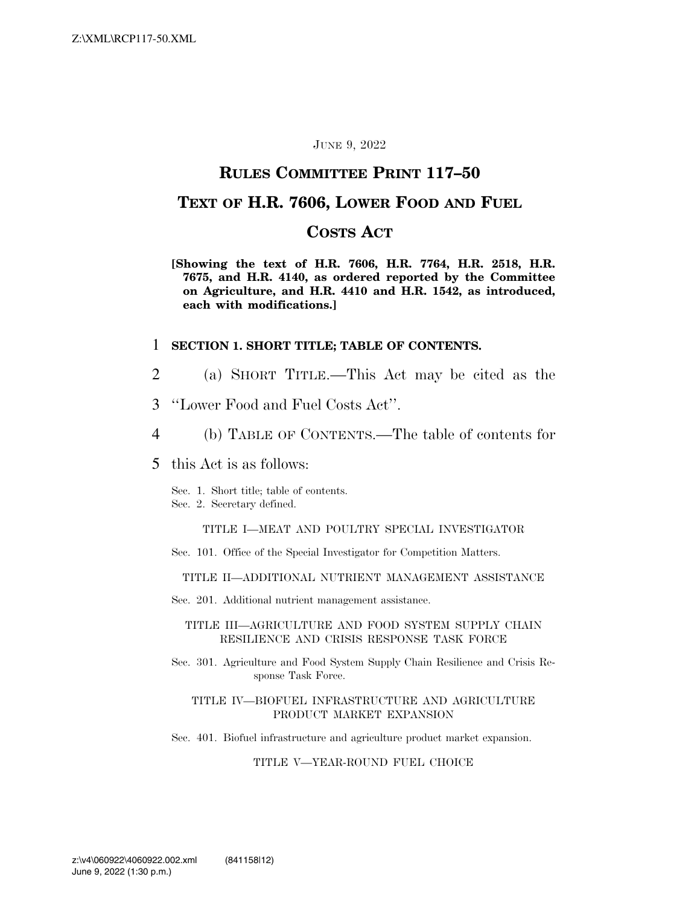### JUNE 9, 2022

### **RULES COMMITTEE PRINT 117–50**

### **TEXT OF H.R. 7606, LOWER FOOD AND FUEL**

### **COSTS ACT**

**[Showing the text of H.R. 7606, H.R. 7764, H.R. 2518, H.R. 7675, and H.R. 4140, as ordered reported by the Committee on Agriculture, and H.R. 4410 and H.R. 1542, as introduced, each with modifications.]** 

### 1 **SECTION 1. SHORT TITLE; TABLE OF CONTENTS.**

- 2 (a) SHORT TITLE.—This Act may be cited as the
- 3 ''Lower Food and Fuel Costs Act''.
- 4 (b) TABLE OF CONTENTS.—The table of contents for
- 5 this Act is as follows:
	- Sec. 1. Short title; table of contents.
	- Sec. 2. Secretary defined.

TITLE I—MEAT AND POULTRY SPECIAL INVESTIGATOR

Sec. 101. Office of the Special Investigator for Competition Matters.

TITLE II—ADDITIONAL NUTRIENT MANAGEMENT ASSISTANCE

Sec. 201. Additional nutrient management assistance.

#### TITLE III—AGRICULTURE AND FOOD SYSTEM SUPPLY CHAIN RESILIENCE AND CRISIS RESPONSE TASK FORCE

Sec. 301. Agriculture and Food System Supply Chain Resilience and Crisis Response Task Force.

#### TITLE IV—BIOFUEL INFRASTRUCTURE AND AGRICULTURE PRODUCT MARKET EXPANSION

Sec. 401. Biofuel infrastructure and agriculture product market expansion.

### TITLE V—YEAR-ROUND FUEL CHOICE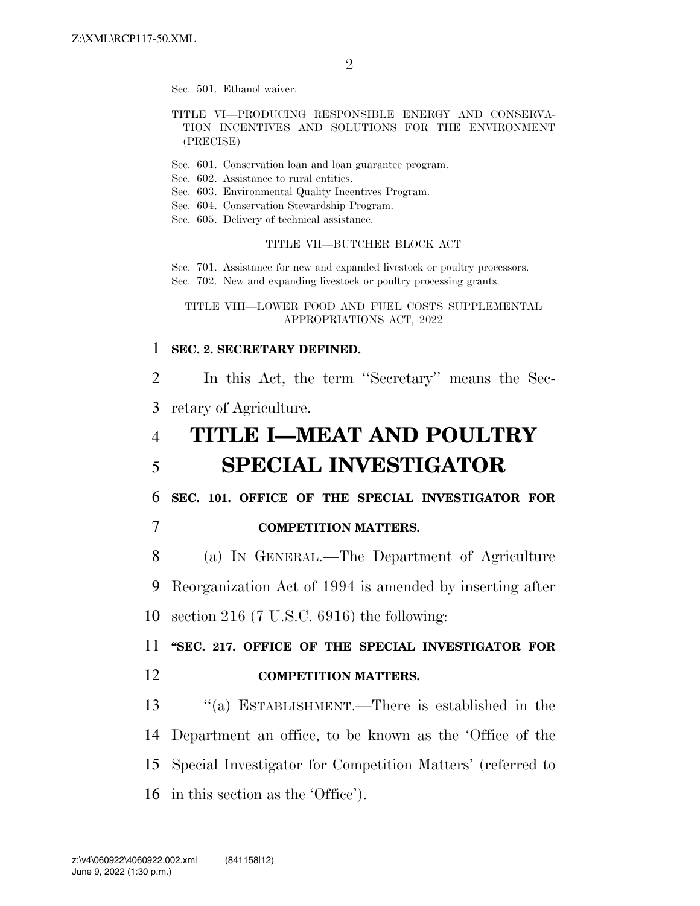Sec. 501. Ethanol waiver.

### TITLE VI—PRODUCING RESPONSIBLE ENERGY AND CONSERVA-TION INCENTIVES AND SOLUTIONS FOR THE ENVIRONMENT (PRECISE)

- Sec. 601. Conservation loan and loan guarantee program.
- Sec. 602. Assistance to rural entities.
- Sec. 603. Environmental Quality Incentives Program.
- Sec. 604. Conservation Stewardship Program.
- Sec. 605. Delivery of technical assistance.

### TITLE VII—BUTCHER BLOCK ACT

Sec. 701. Assistance for new and expanded livestock or poultry processors. Sec. 702. New and expanding livestock or poultry processing grants.

### TITLE VIII—LOWER FOOD AND FUEL COSTS SUPPLEMENTAL APPROPRIATIONS ACT, 2022

### 1 **SEC. 2. SECRETARY DEFINED.**

2 In this Act, the term ''Secretary'' means the Sec-3 retary of Agriculture.

## 4 **TITLE I—MEAT AND POULTRY**  5 **SPECIAL INVESTIGATOR**

6 **SEC. 101. OFFICE OF THE SPECIAL INVESTIGATOR FOR** 

7 **COMPETITION MATTERS.** 

8 (a) IN GENERAL.—The Department of Agriculture 9 Reorganization Act of 1994 is amended by inserting after 10 section 216 (7 U.S.C. 6916) the following:

11 **''SEC. 217. OFFICE OF THE SPECIAL INVESTIGATOR FOR**  12 **COMPETITION MATTERS.** 

 ''(a) ESTABLISHMENT.—There is established in the Department an office, to be known as the 'Office of the Special Investigator for Competition Matters' (referred to in this section as the 'Office').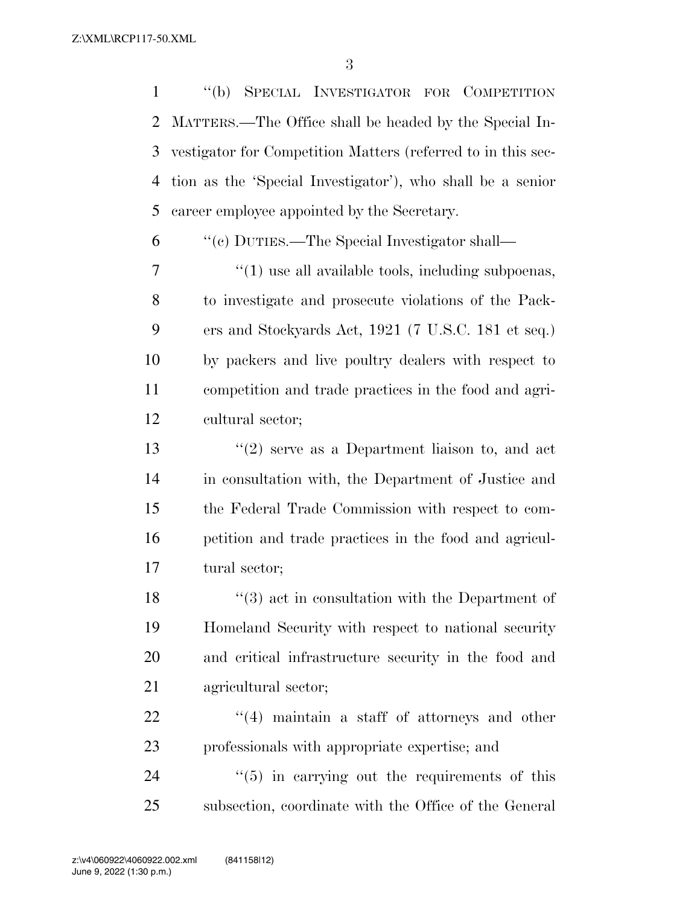''(b) SPECIAL INVESTIGATOR FOR COMPETITION MATTERS.—The Office shall be headed by the Special In- vestigator for Competition Matters (referred to in this sec- tion as the 'Special Investigator'), who shall be a senior career employee appointed by the Secretary.

''(c) DUTIES.—The Special Investigator shall—

 ''(1) use all available tools, including subpoenas, to investigate and prosecute violations of the Pack- ers and Stockyards Act, 1921 (7 U.S.C. 181 et seq.) by packers and live poultry dealers with respect to competition and trade practices in the food and agri-cultural sector;

 ''(2) serve as a Department liaison to, and act in consultation with, the Department of Justice and the Federal Trade Commission with respect to com- petition and trade practices in the food and agricul-tural sector;

18 ''(3) act in consultation with the Department of Homeland Security with respect to national security and critical infrastructure security in the food and agricultural sector;

 $\frac{1}{22}$  ''(4) maintain a staff of attorneys and other professionals with appropriate expertise; and

24  $\frac{1}{2}$  (5) in carrying out the requirements of this subsection, coordinate with the Office of the General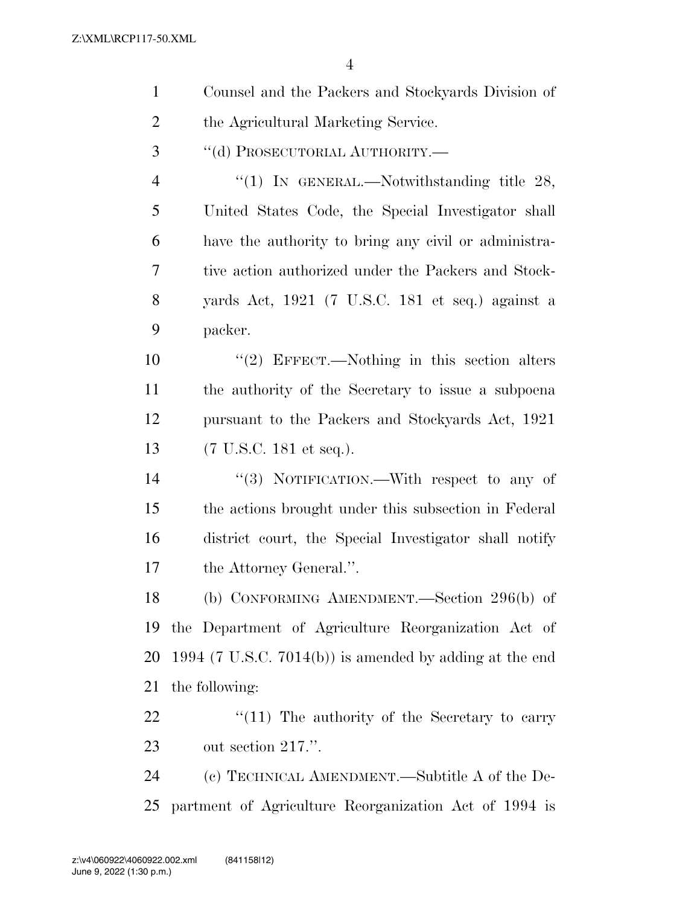| $\mathbf{1}$   | Counsel and the Packers and Stockyards Division of      |
|----------------|---------------------------------------------------------|
| $\overline{2}$ | the Agricultural Marketing Service.                     |
| 3              | "(d) PROSECUTORIAL AUTHORITY.-                          |
| $\overline{4}$ | "(1) In GENERAL.—Notwithstanding title $28$ ,           |
| 5              | United States Code, the Special Investigator shall      |
| 6              | have the authority to bring any civil or administra-    |
| 7              | tive action authorized under the Packers and Stock-     |
| 8              | yards Act, 1921 (7 U.S.C. 181 et seq.) against a        |
| 9              | packer.                                                 |
| 10             | "(2) EFFECT.—Nothing in this section alters             |
| 11             | the authority of the Secretary to issue a subpoena      |
| 12             | pursuant to the Packers and Stockyards Act, 1921        |
| 13             | $(7 \text{ U.S.C. } 181 \text{ et seq.}).$              |
| 14             | "(3) NOTIFICATION.—With respect to any of               |
| 15             | the actions brought under this subsection in Federal    |
| 16             | district court, the Special Investigator shall notify   |
| 17             | the Attorney General.".                                 |
| 18             | (b) CONFORMING AMENDMENT.—Section 296(b) of             |
| 19             | the Department of Agriculture Reorganization Act of     |
| 20             | 1994 (7 U.S.C. 7014(b)) is amended by adding at the end |
| 21             | the following:                                          |
| 22             | $\lq(11)$ The authority of the Secretary to carry       |
| 23             | out section 217.".                                      |
| 24             | (c) TECHNICAL AMENDMENT.—Subtitle A of the De-          |
| 25             | partment of Agriculture Reorganization Act of 1994 is   |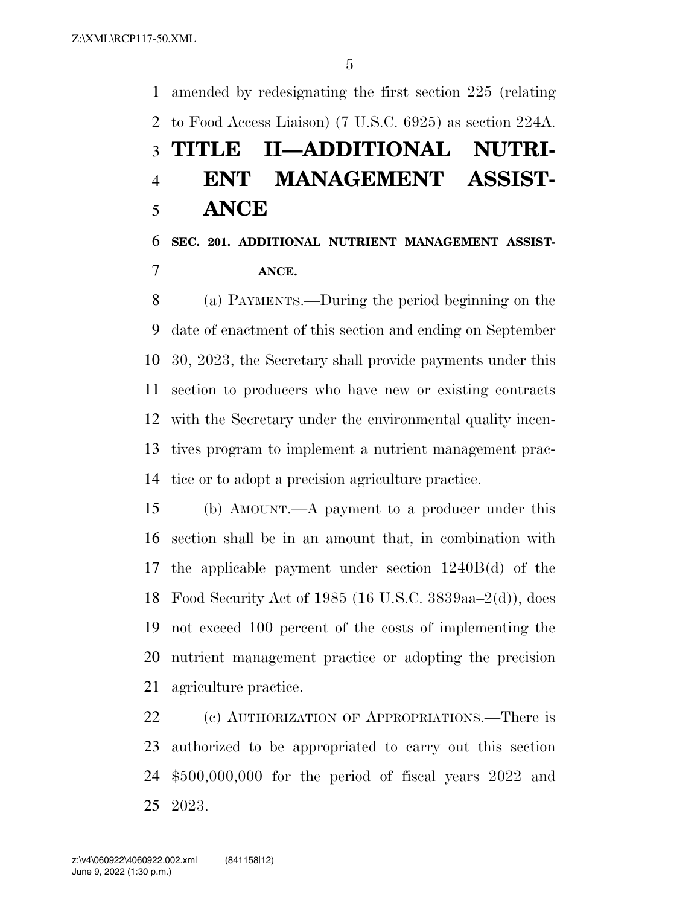amended by redesignating the first section 225 (relating to Food Access Liaison) (7 U.S.C. 6925) as section 224A. **TITLE II—ADDITIONAL NUTRI- ENT MANAGEMENT ASSIST- ANCE SEC. 201. ADDITIONAL NUTRIENT MANAGEMENT ASSIST-ANCE.** 

 (a) PAYMENTS.—During the period beginning on the date of enactment of this section and ending on September 30, 2023, the Secretary shall provide payments under this section to producers who have new or existing contracts with the Secretary under the environmental quality incen- tives program to implement a nutrient management prac-tice or to adopt a precision agriculture practice.

 (b) AMOUNT.—A payment to a producer under this section shall be in an amount that, in combination with the applicable payment under section 1240B(d) of the Food Security Act of 1985 (16 U.S.C. 3839aa–2(d)), does not exceed 100 percent of the costs of implementing the nutrient management practice or adopting the precision agriculture practice.

 (c) AUTHORIZATION OF APPROPRIATIONS.—There is authorized to be appropriated to carry out this section \$500,000,000 for the period of fiscal years 2022 and 2023.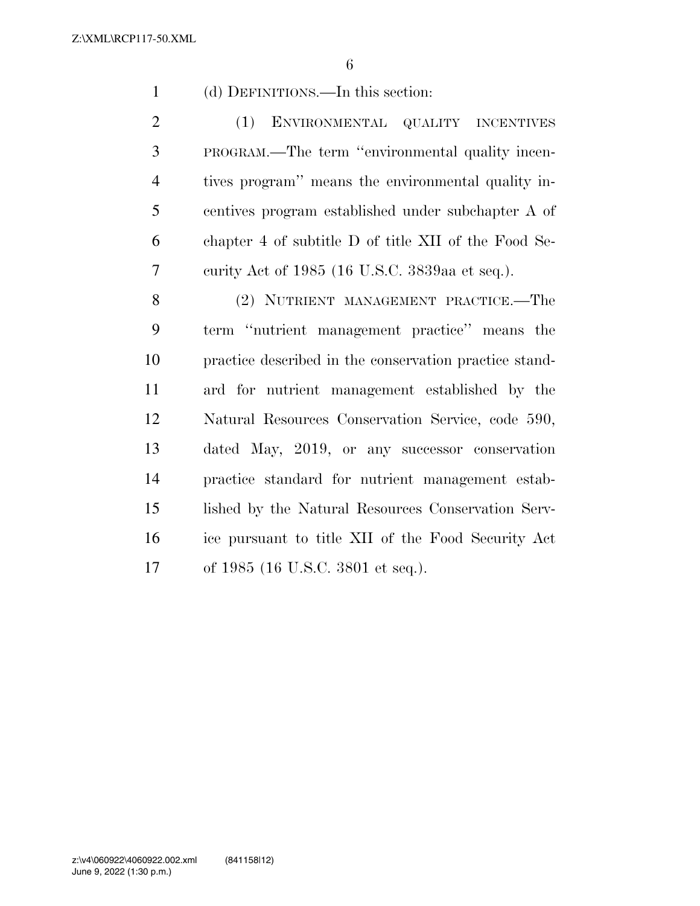(d) DEFINITIONS.—In this section:

 (1) ENVIRONMENTAL QUALITY INCENTIVES PROGRAM.—The term ''environmental quality incen- tives program'' means the environmental quality in- centives program established under subchapter A of chapter 4 of subtitle D of title XII of the Food Se-curity Act of 1985 (16 U.S.C. 3839aa et seq.).

 (2) NUTRIENT MANAGEMENT PRACTICE.—The term ''nutrient management practice'' means the practice described in the conservation practice stand- ard for nutrient management established by the Natural Resources Conservation Service, code 590, dated May, 2019, or any successor conservation practice standard for nutrient management estab- lished by the Natural Resources Conservation Serv- ice pursuant to title XII of the Food Security Act of 1985 (16 U.S.C. 3801 et seq.).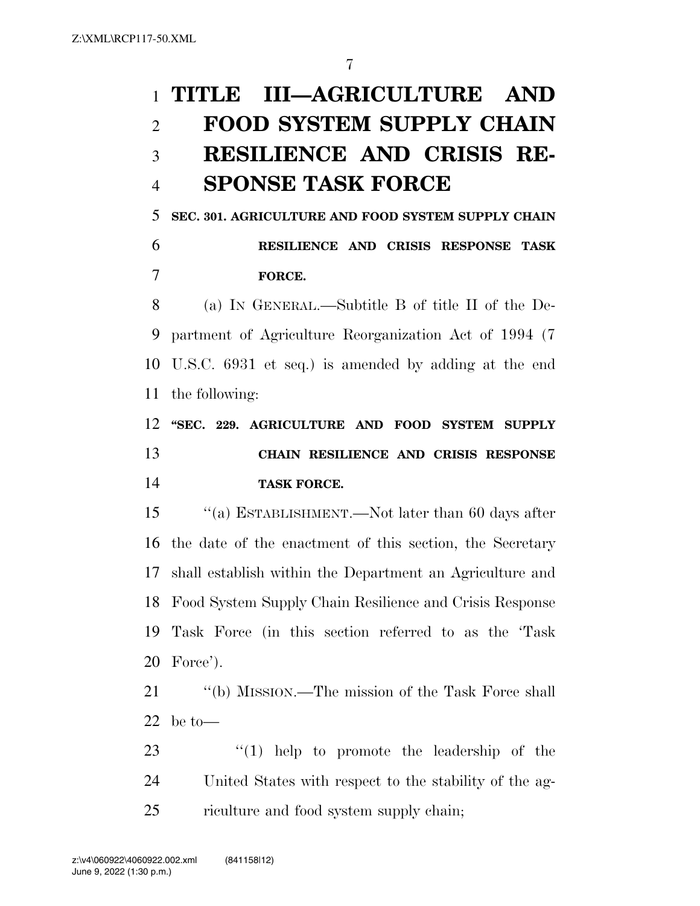# **TITLE III—AGRICULTURE AND FOOD SYSTEM SUPPLY CHAIN RESILIENCE AND CRISIS RE-SPONSE TASK FORCE**

 **SEC. 301. AGRICULTURE AND FOOD SYSTEM SUPPLY CHAIN RESILIENCE AND CRISIS RESPONSE TASK FORCE.** 

 (a) IN GENERAL.—Subtitle B of title II of the De- partment of Agriculture Reorganization Act of 1994 (7 U.S.C. 6931 et seq.) is amended by adding at the end the following:

 **''SEC. 229. AGRICULTURE AND FOOD SYSTEM SUPPLY CHAIN RESILIENCE AND CRISIS RESPONSE TASK FORCE.** 

 ''(a) ESTABLISHMENT.—Not later than 60 days after the date of the enactment of this section, the Secretary shall establish within the Department an Agriculture and Food System Supply Chain Resilience and Crisis Response Task Force (in this section referred to as the 'Task Force').

21 ''(b) MISSION.—The mission of the Task Force shall be to—

23  $\frac{1}{2}$  (1) help to promote the leadership of the United States with respect to the stability of the ag-riculture and food system supply chain;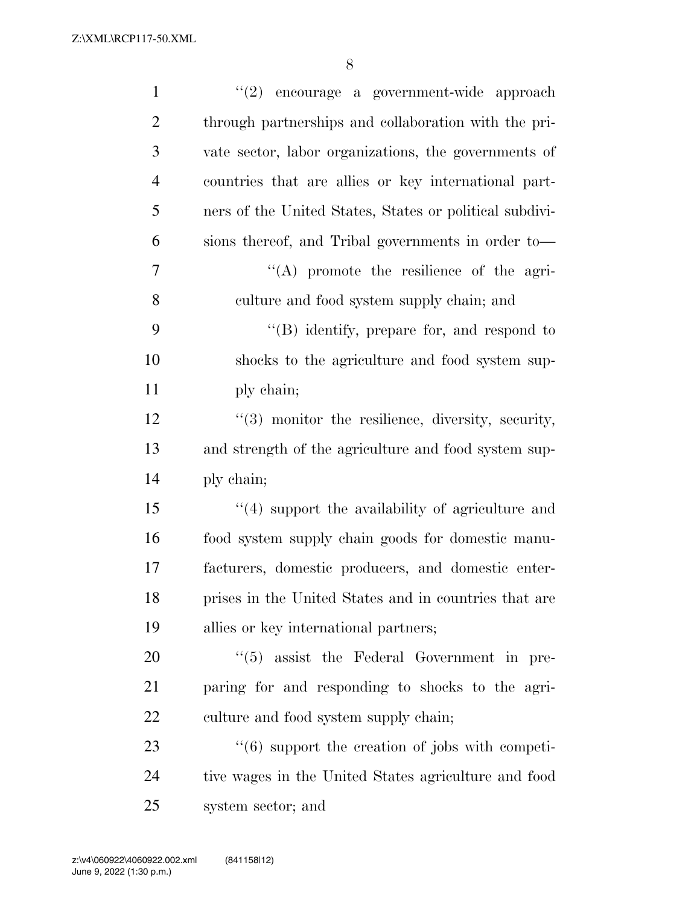Z:\XML\RCP117-50.XML

| $\mathbf{1}$   | $(2)$ encourage a government-wide approach                      |
|----------------|-----------------------------------------------------------------|
| $\overline{2}$ | through partnerships and collaboration with the pri-            |
| 3              | vate sector, labor organizations, the governments of            |
| $\overline{4}$ | countries that are allies or key international part-            |
| 5              | ners of the United States, States or political subdivi-         |
| 6              | sions thereof, and Tribal governments in order to-              |
| 7              | "(A) promote the resilience of the agri-                        |
| 8              | culture and food system supply chain; and                       |
| 9              | $\lq\lq (B)$ identify, prepare for, and respond to              |
| 10             | shocks to the agriculture and food system sup-                  |
| 11             | ply chain;                                                      |
| 12             | "(3) monitor the resilience, diversity, security,               |
| 13             | and strength of the agriculture and food system sup-            |
| 14             | ply chain;                                                      |
| 15             | $\lq(4)$ support the availability of agriculture and            |
| 16             | food system supply chain goods for domestic manu-               |
| 17             | facturers, domestic producers, and domestic enter-              |
| 18             | prises in the United States and in countries that are           |
| 19             | allies or key international partners;                           |
| 20             | $\lq(5)$ assist the Federal Government in pre-                  |
| 21             | paring for and responding to shocks to the agri-                |
| 22             | culture and food system supply chain;                           |
| 23             | $\cdot\cdot\cdot(6)$ support the creation of jobs with competi- |
| 24             | tive wages in the United States agriculture and food            |
| 25             | system sector; and                                              |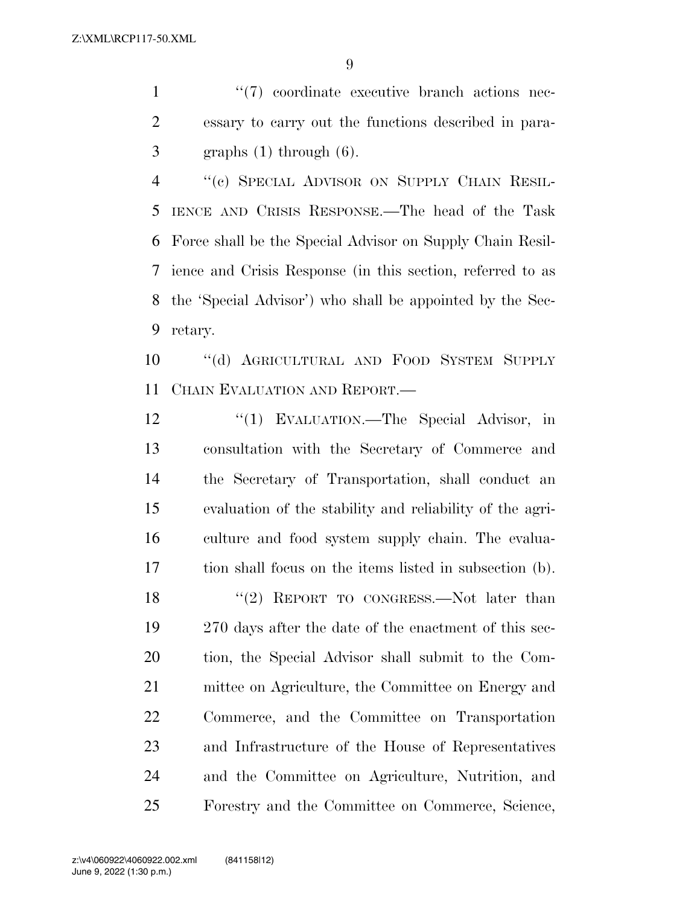1  $\frac{1}{2}$  (7) coordinate executive branch actions nec- essary to carry out the functions described in para-graphs (1) through (6).

 ''(c) SPECIAL ADVISOR ON SUPPLY CHAIN RESIL- IENCE AND CRISIS RESPONSE.—The head of the Task Force shall be the Special Advisor on Supply Chain Resil- ience and Crisis Response (in this section, referred to as the 'Special Advisor') who shall be appointed by the Sec-retary.

 ''(d) AGRICULTURAL AND FOOD SYSTEM SUPPLY CHAIN EVALUATION AND REPORT.—

12 "(1) EVALUATION.—The Special Advisor, in consultation with the Secretary of Commerce and the Secretary of Transportation, shall conduct an evaluation of the stability and reliability of the agri- culture and food system supply chain. The evalua- tion shall focus on the items listed in subsection (b). 18 "(2) REPORT TO CONGRESS.—Not later than 270 days after the date of the enactment of this sec- tion, the Special Advisor shall submit to the Com- mittee on Agriculture, the Committee on Energy and Commerce, and the Committee on Transportation and Infrastructure of the House of Representatives and the Committee on Agriculture, Nutrition, and Forestry and the Committee on Commerce, Science,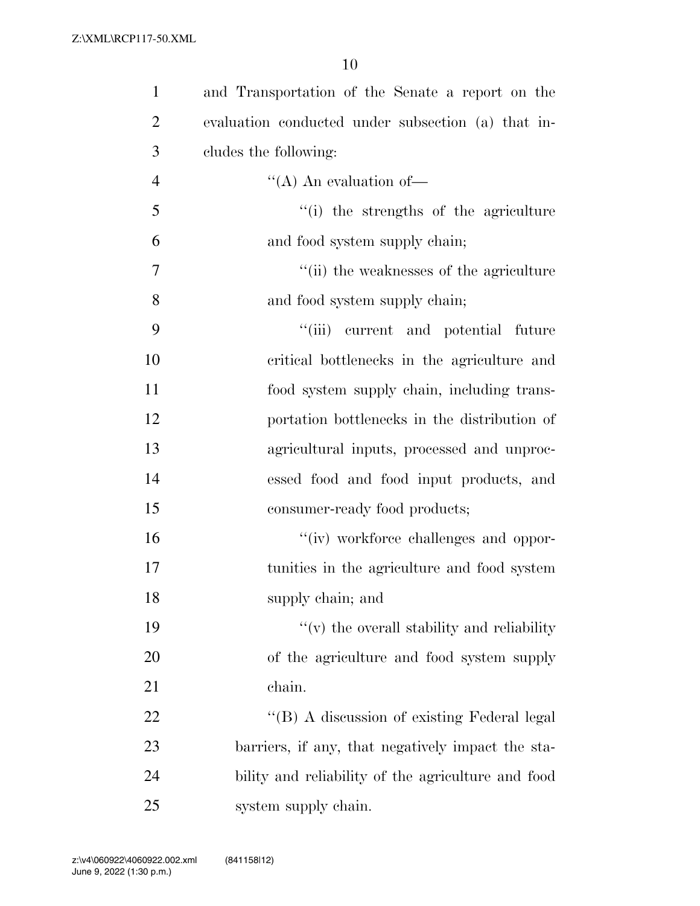| $\mathbf{1}$   | and Transportation of the Senate a report on the   |
|----------------|----------------------------------------------------|
| $\overline{2}$ | evaluation conducted under subsection (a) that in- |
| 3              | cludes the following:                              |
| $\overline{4}$ | $\lq\lq$ (A) An evaluation of —                    |
| 5              | "(i) the strengths of the agriculture              |
| 6              | and food system supply chain;                      |
| $\overline{7}$ | $"$ (ii) the weaknesses of the agriculture         |
| 8              | and food system supply chain;                      |
| 9              | "(iii) current and potential future                |
| 10             | critical bottlenecks in the agriculture and        |
| 11             | food system supply chain, including trans-         |
| 12             | portation bottlenecks in the distribution of       |
| 13             | agricultural inputs, processed and unproc-         |
| 14             | essed food and food input products, and            |
| 15             | consumer-ready food products;                      |
| 16             | "(iv) workforce challenges and oppor-              |
| 17             | tunities in the agriculture and food system        |
| 18             | supply chain; and                                  |
| 19             | $f'(v)$ the overall stability and reliability      |
| 20             | of the agriculture and food system supply          |
| 21             | chain.                                             |
| 22             | "(B) A discussion of existing Federal legal        |
| 23             | barriers, if any, that negatively impact the sta-  |
| 24             | bility and reliability of the agriculture and food |
| 25             | system supply chain.                               |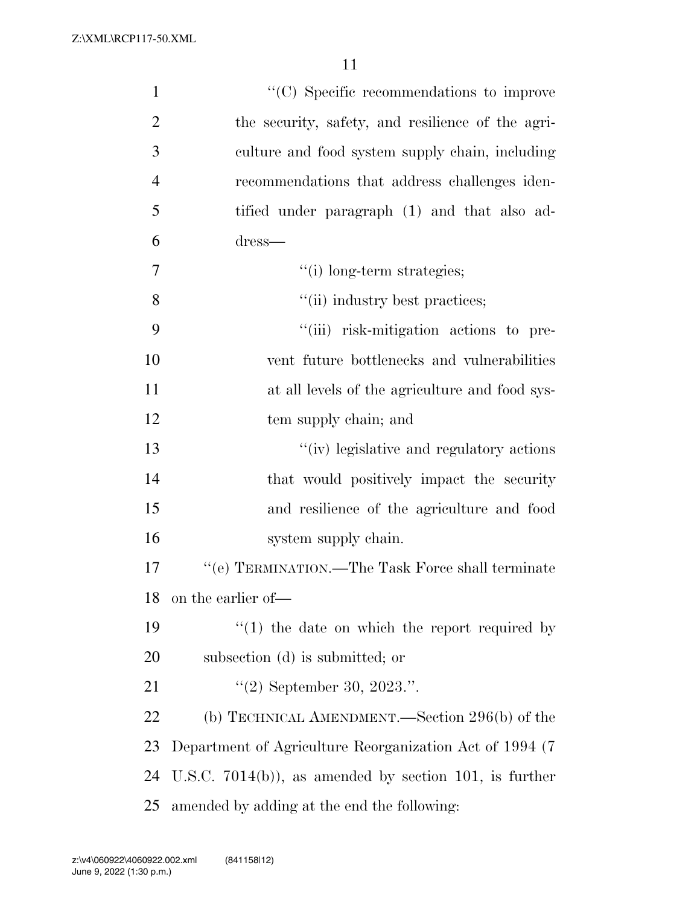| $\mathbf{1}$   | $\lq\lq$ (C) Specific recommendations to improve         |
|----------------|----------------------------------------------------------|
| $\overline{2}$ | the security, safety, and resilience of the agri-        |
| 3              | culture and food system supply chain, including          |
| $\overline{4}$ | recommendations that address challenges iden-            |
| 5              | tified under paragraph (1) and that also ad-             |
| 6              | dress—                                                   |
| $\overline{7}$ | "(i) long-term strategies;                               |
| 8              | "(ii) industry best practices;                           |
| 9              | "(iii) risk-mitigation actions to pre-                   |
| 10             | vent future bottlenecks and vulnerabilities              |
| 11             | at all levels of the agriculture and food sys-           |
| 12             | tem supply chain; and                                    |
| 13             | "(iv) legislative and regulatory actions                 |
| 14             | that would positively impact the security                |
| 15             | and resilience of the agriculture and food               |
| 16             | system supply chain.                                     |
| 17             | $\lq\lq (e)$ TERMINATION.—The Task Force shall terminate |
| 18             | on the earlier of-                                       |
| 19             | $\cdot$ (1) the date on which the report required by     |
| 20             | subsection (d) is submitted; or                          |
| 21             | $"(2)$ September 30, 2023.".                             |
| 22             | (b) TECHNICAL AMENDMENT.—Section 296(b) of the           |
| 23             | Department of Agriculture Reorganization Act of 1994 (7) |
| 24             | U.S.C. $7014(b)$ , as amended by section 101, is further |
| 25             | amended by adding at the end the following:              |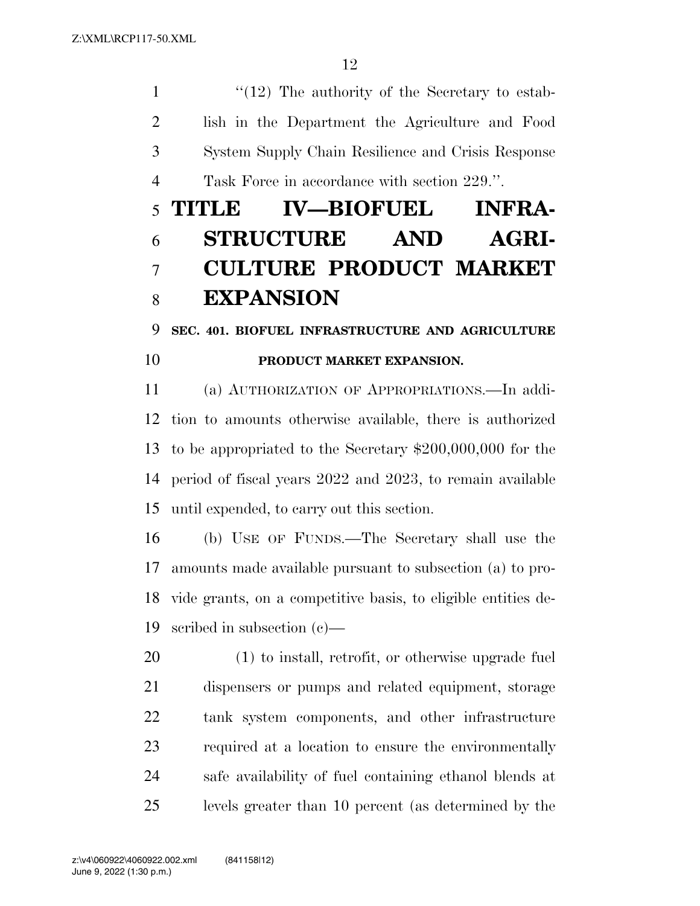1 ''(12) The authority of the Secretary to estab- lish in the Department the Agriculture and Food System Supply Chain Resilience and Crisis Response Task Force in accordance with section 229.''.

# **TITLE IV—BIOFUEL INFRA- STRUCTURE AND AGRI- CULTURE PRODUCT MARKET EXPANSION**

### **SEC. 401. BIOFUEL INFRASTRUCTURE AND AGRICULTURE PRODUCT MARKET EXPANSION.**

 (a) AUTHORIZATION OF APPROPRIATIONS.—In addi- tion to amounts otherwise available, there is authorized to be appropriated to the Secretary \$200,000,000 for the period of fiscal years 2022 and 2023, to remain available until expended, to carry out this section.

 (b) USE OF FUNDS.—The Secretary shall use the amounts made available pursuant to subsection (a) to pro- vide grants, on a competitive basis, to eligible entities de-scribed in subsection (c)—

 (1) to install, retrofit, or otherwise upgrade fuel dispensers or pumps and related equipment, storage tank system components, and other infrastructure required at a location to ensure the environmentally safe availability of fuel containing ethanol blends at levels greater than 10 percent (as determined by the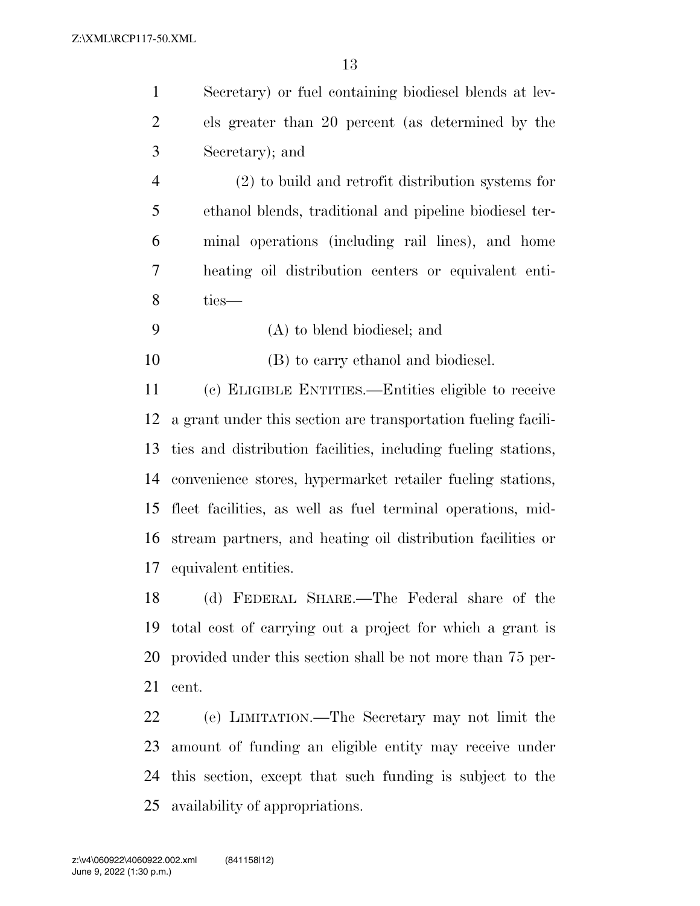Secretary) or fuel containing biodiesel blends at lev- els greater than 20 percent (as determined by the Secretary); and

 (2) to build and retrofit distribution systems for ethanol blends, traditional and pipeline biodiesel ter- minal operations (including rail lines), and home heating oil distribution centers or equivalent enti-ties—

(A) to blend biodiesel; and

(B) to carry ethanol and biodiesel.

 (c) ELIGIBLE ENTITIES.—Entities eligible to receive a grant under this section are transportation fueling facili- ties and distribution facilities, including fueling stations, convenience stores, hypermarket retailer fueling stations, fleet facilities, as well as fuel terminal operations, mid- stream partners, and heating oil distribution facilities or equivalent entities.

 (d) FEDERAL SHARE.—The Federal share of the total cost of carrying out a project for which a grant is provided under this section shall be not more than 75 per-cent.

 (e) LIMITATION.—The Secretary may not limit the amount of funding an eligible entity may receive under this section, except that such funding is subject to the availability of appropriations.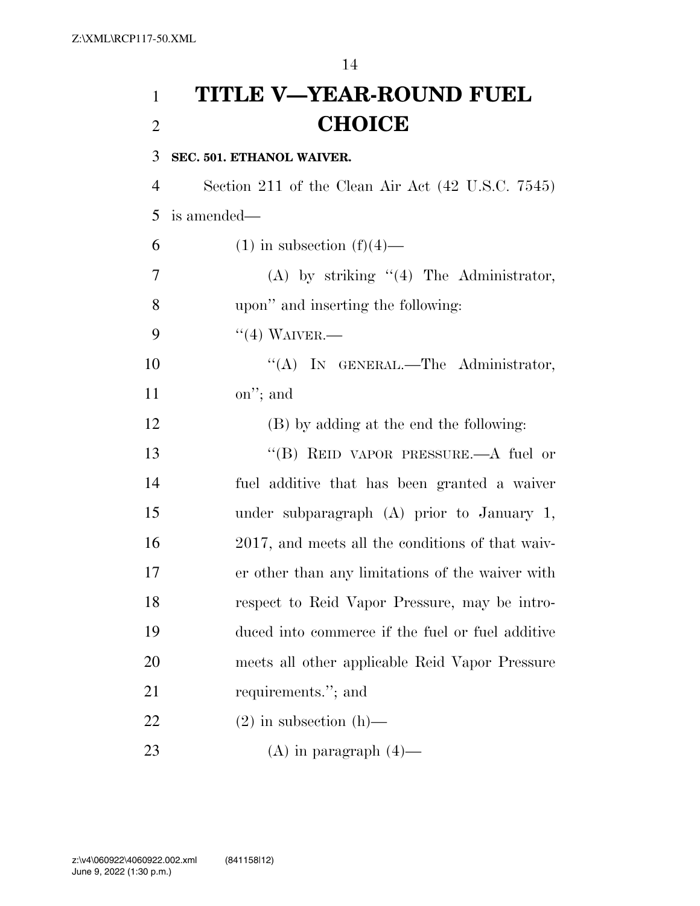**TITLE V—YEAR-ROUND FUEL CHOICE** 

### **SEC. 501. ETHANOL WAIVER.**

 Section 211 of the Clean Air Act (42 U.S.C. 7545) is amended—

| 6              | $(1)$ in subsection $(f)(4)$ —                   |
|----------------|--------------------------------------------------|
| $\overline{7}$ | $(A)$ by striking " $(4)$ The Administrator,     |
| 8              | upon" and inserting the following:               |
| 9              | $``(4)$ WAIVER.—                                 |
| 10             | (4)<br>IN GENERAL.—The Administrator,            |
| 11             | on"; and                                         |
| 12             | (B) by adding at the end the following:          |
| 13             | "(B) REID VAPOR PRESSURE.—A fuel or              |
| 14             | fuel additive that has been granted a waiver     |
| 15             | under subparagraph $(A)$ prior to January 1,     |
| 16             | 2017, and meets all the conditions of that waiv- |
| 17             | er other than any limitations of the waiver with |
| 18             | respect to Reid Vapor Pressure, may be intro-    |
| 19             | duced into commerce if the fuel or fuel additive |
| 20             | meets all other applicable Reid Vapor Pressure   |
| 21             | requirements."; and                              |
| 22             | $(2)$ in subsection $(h)$ —                      |
| 23             | $(A)$ in paragraph $(4)$ —                       |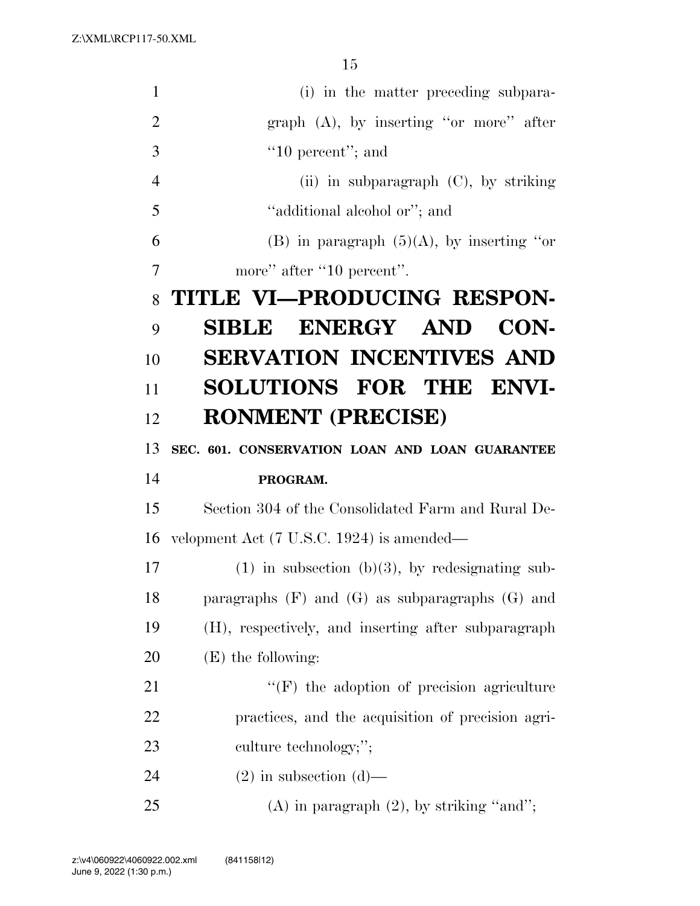Z:\XML\RCP117-50.XML

| $\mathbf{1}$   | (i) in the matter preceding subpara-                  |
|----------------|-------------------------------------------------------|
| $\overline{2}$ | graph $(A)$ , by inserting "or more" after            |
| 3              | $"10$ percent"; and                                   |
| $\overline{4}$ | (ii) in subparagraph $(C)$ , by striking              |
| 5              | "additional alcohol or"; and                          |
| 6              | (B) in paragraph $(5)(A)$ , by inserting "or          |
| 7              | more" after "10 percent".                             |
| 8              | TITLE VI—PRODUCING RESPON-                            |
| 9              | <b>SIBLE ENERGY AND</b><br>CON-                       |
| 10             | <b>SERVATION INCENTIVES AND</b>                       |
| 11             | SOLUTIONS FOR THE ENVI-                               |
| 12             | <b>RONMENT (PRECISE)</b>                              |
| 13             | SEC. 601. CONSERVATION LOAN AND LOAN GUARANTEE        |
| 14             | PROGRAM.                                              |
| 15             | Section 304 of the Consolidated Farm and Rural De-    |
| 16             |                                                       |
| 17             | velopment Act (7 U.S.C. 1924) is amended—             |
|                | $(1)$ in subsection (b)(3), by redesignating sub-     |
| 18             | paragraphs $(F)$ and $(G)$ as subparagraphs $(G)$ and |
| 19             | (H), respectively, and inserting after subparagraph   |
| 20             | $(E)$ the following:                                  |
| 21             | "(F) the adoption of precision agriculture            |
| <u>22</u>      | practices, and the acquisition of precision agri-     |
| 23             | culture technology;";                                 |
| 24             | $(2)$ in subsection $(d)$ —                           |
| 25             | $(A)$ in paragraph $(2)$ , by striking "and";         |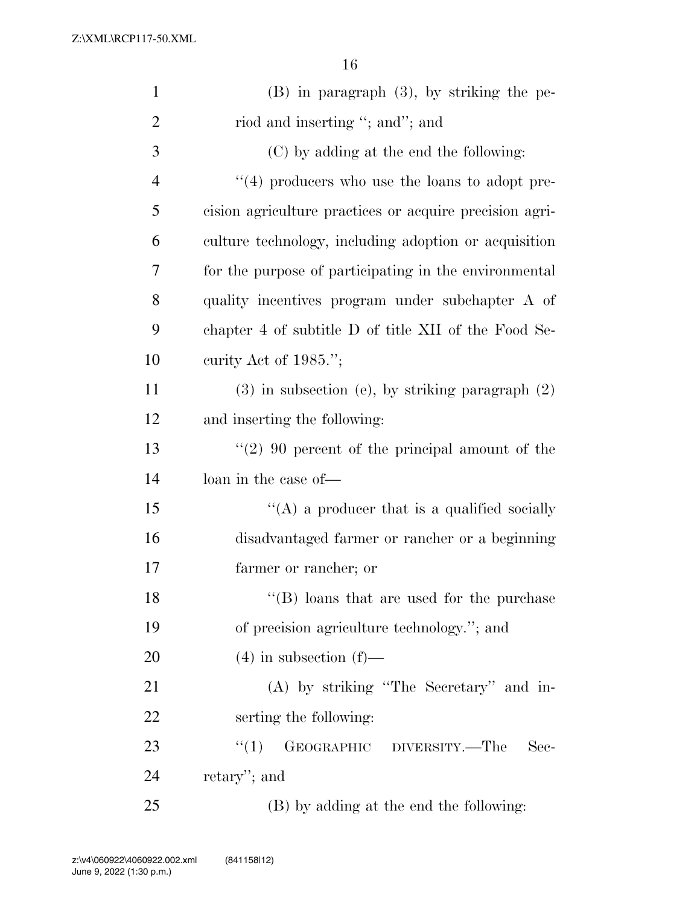| $\mathbf{1}$   | $(B)$ in paragraph $(3)$ , by striking the pe-          |
|----------------|---------------------------------------------------------|
| 2              | riod and inserting "; and"; and                         |
| 3              | (C) by adding at the end the following:                 |
| $\overline{4}$ | $\lq(4)$ producers who use the loans to adopt pre-      |
| 5              | cision agriculture practices or acquire precision agri- |
| 6              | culture technology, including adoption or acquisition   |
| 7              | for the purpose of participating in the environmental   |
| 8              | quality incentives program under subchapter A of        |
| 9              | chapter 4 of subtitle D of title XII of the Food Se-    |
| 10             | curity Act of $1985$ .";                                |
| 11             | $(3)$ in subsection (e), by striking paragraph $(2)$    |
| 12             | and inserting the following:                            |
| 13             | $\lq(2)$ 90 percent of the principal amount of the      |
| 14             | loan in the case of—                                    |
| 15             | "(A) a producer that is a qualified socially            |
| 16             | disadvantaged farmer or rancher or a beginning          |
| 17             | farmer or rancher; or                                   |
| 18             | $\lq\lq$ (B) loans that are used for the purchase       |
| 19             | of precision agriculture technology."; and              |
| 20             | $(4)$ in subsection $(f)$ —                             |
| 21             | (A) by striking "The Secretary" and in-                 |
| 22             | serting the following:                                  |
| 23             | GEOGRAPHIC DIVERSITY.—The<br>``(1)<br>Sec-              |
| 24             | retary'; and                                            |
| 25             | (B) by adding at the end the following:                 |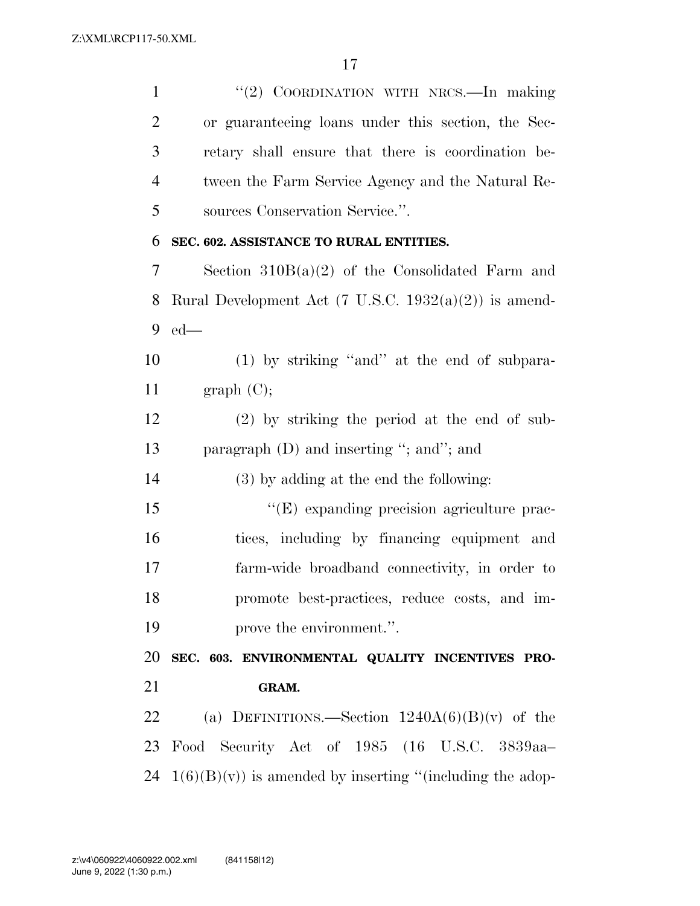''(2) COORDINATION WITH NRCS.—In making or guaranteeing loans under this section, the Sec- retary shall ensure that there is coordination be- tween the Farm Service Agency and the Natural Re- sources Conservation Service.''. **SEC. 602. ASSISTANCE TO RURAL ENTITIES.**  Section 310B(a)(2) of the Consolidated Farm and

8 Rural Development Act  $(7 \text{ U.S.C. } 1932(a)(2))$  is amend-ed—

 (1) by striking ''and'' at the end of subpara-11 graph  $(C)$ ;

 (2) by striking the period at the end of sub-paragraph (D) and inserting ''; and''; and

(3) by adding at the end the following:

 $\langle$  (E) expanding precision agriculture prac- tices, including by financing equipment and farm-wide broadband connectivity, in order to promote best-practices, reduce costs, and im-prove the environment.''.

 **SEC. 603. ENVIRONMENTAL QUALITY INCENTIVES PRO-GRAM.** 

22 (a) DEFINITIONS.—Section  $1240A(6)(B)(v)$  of the Food Security Act of 1985 (16 U.S.C. 3839aa– 24  $1(6)(B)(v)$  is amended by inserting "(including the adop-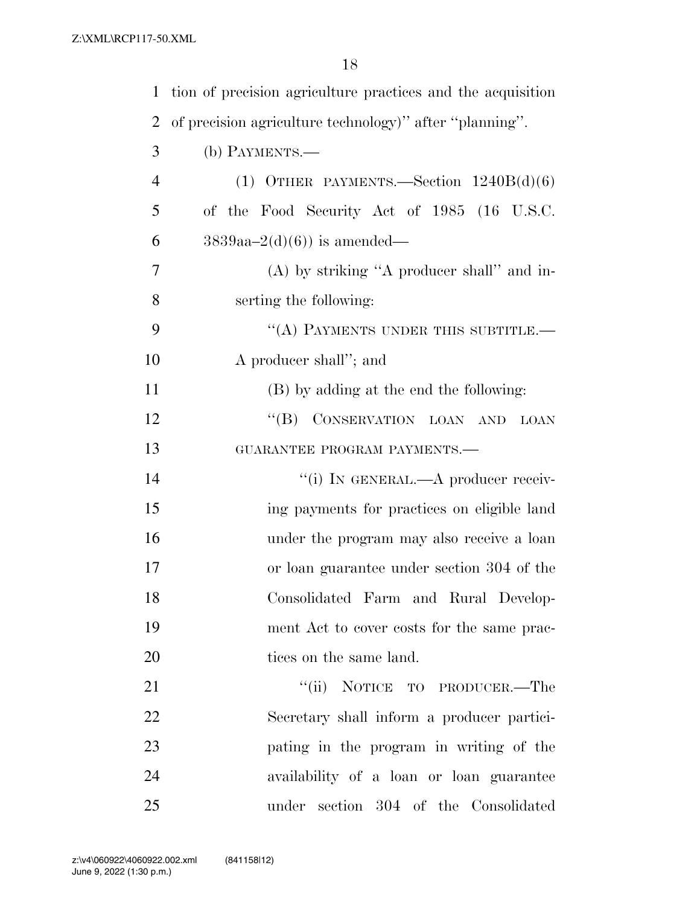| $\mathbf{1}$   | tion of precision agriculture practices and the acquisition |
|----------------|-------------------------------------------------------------|
| $\overline{2}$ | of precision agriculture technology)" after "planning".     |
| 3              | (b) PAYMENTS.-                                              |
| $\overline{4}$ | (1) OTHER PAYMENTS. Section $1240B(d)(6)$                   |
| 5              | of the Food Security Act of 1985 (16 U.S.C.                 |
| 6              | $3839aa-2(d)(6)$ is amended—                                |
| 7              | $(A)$ by striking "A producer shall" and in-                |
| 8              | serting the following:                                      |
| 9              | "(A) PAYMENTS UNDER THIS SUBTITLE.-                         |
| 10             | A producer shall"; and                                      |
| 11             | (B) by adding at the end the following:                     |
| 12             | "(B) CONSERVATION LOAN AND<br>LOAN                          |
| 13             | GUARANTEE PROGRAM PAYMENTS.-                                |
| 14             | "(i) IN GENERAL.—A producer receiv-                         |
| 15             | ing payments for practices on eligible land                 |
| 16             | under the program may also receive a loan                   |
| 17             | or loan guarantee under section 304 of the                  |
| 18             | Consolidated Farm and Rural Develop-                        |
| 19             | ment Act to cover costs for the same prac-                  |
| 20             | tices on the same land.                                     |
| 21             | "(ii) NOTICE TO PRODUCER.—The                               |
| 22             | Secretary shall inform a producer partici-                  |
| 23             | pating in the program in writing of the                     |
| 24             | availability of a loan or loan guarantee                    |
| 25             | under section 304 of the Consolidated                       |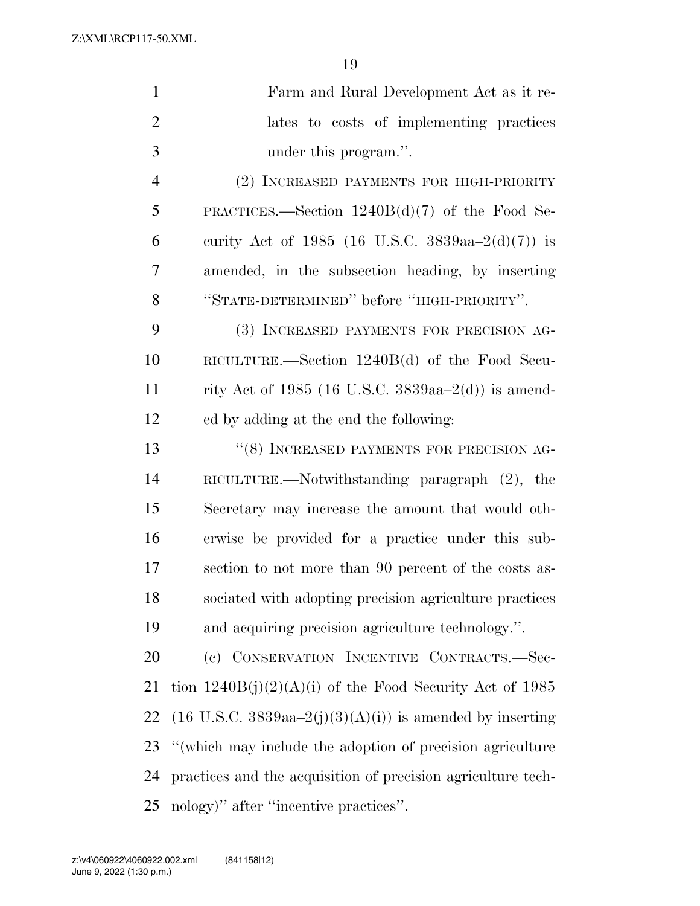Z:\XML\RCP117-50.XML

| $\mathbf{1}$   | Farm and Rural Development Act as it re-                                      |
|----------------|-------------------------------------------------------------------------------|
| $\overline{2}$ | lates to costs of implementing practices                                      |
| 3              | under this program.".                                                         |
| $\overline{4}$ | (2) INCREASED PAYMENTS FOR HIGH-PRIORITY                                      |
| 5              | PRACTICES.—Section $1240B(d)(7)$ of the Food Se-                              |
| 6              | curity Act of 1985 (16 U.S.C. 3839aa-2(d)(7)) is                              |
| 7              | amended, in the subsection heading, by inserting                              |
| 8              | "STATE-DETERMINED" before "HIGH-PRIORITY".                                    |
| 9              | (3) INCREASED PAYMENTS FOR PRECISION AG-                                      |
| 10             | RICULTURE.—Section $1240B(d)$ of the Food Secu-                               |
| 11             | rity Act of 1985 (16 U.S.C. 3839aa-2(d)) is amend-                            |
| 12             | ed by adding at the end the following:                                        |
| 13             | "(8) INCREASED PAYMENTS FOR PRECISION AG-                                     |
| 14             | RICULTURE.—Notwithstanding paragraph $(2)$ , the                              |
| 15             | Secretary may increase the amount that would oth-                             |
| 16             | erwise be provided for a practice under this sub-                             |
| 17             | section to not more than 90 percent of the costs as-                          |
| 18             | sociated with adopting precision agriculture practices                        |
| 19             | and acquiring precision agriculture technology.".                             |
| 20             | (c) CONSERVATION INCENTIVE CONTRACTS.-Sec-                                    |
| 21             | tion $1240B(j)(2)(A)(i)$ of the Food Security Act of 1985                     |
| 22             | $(16 \text{ U.S.C. } 3839 \text{aa} - 2(j)(3)(A)(i))$ is amended by inserting |
| 23             | "(which may include the adoption of precision agriculture)"                   |
| 24             | practices and the acquisition of precision agriculture tech-                  |
| 25             | nology)" after "incentive practices".                                         |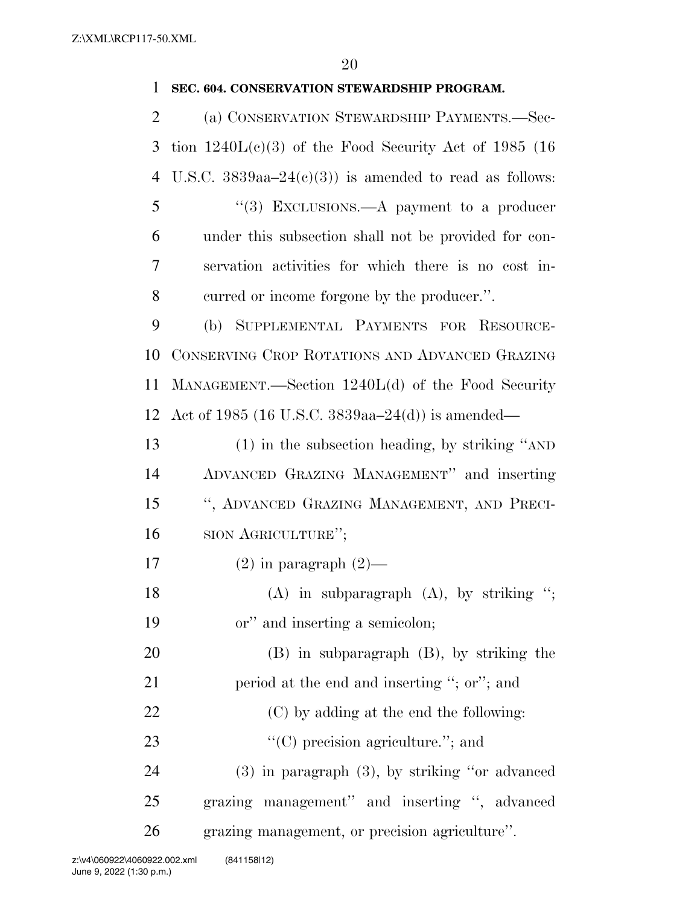### **SEC. 604. CONSERVATION STEWARDSHIP PROGRAM.**

 (a) CONSERVATION STEWARDSHIP PAYMENTS.—Sec- tion 1240L(c)(3) of the Food Security Act of 1985 (16 4 U.S.C.  $3839aa-24(c)(3)$  is amended to read as follows: ''(3) EXCLUSIONS.—A payment to a producer under this subsection shall not be provided for con- servation activities for which there is no cost in- curred or income forgone by the producer.''. (b) SUPPLEMENTAL PAYMENTS FOR RESOURCE- CONSERVING CROP ROTATIONS AND ADVANCED GRAZING MANAGEMENT.—Section 1240L(d) of the Food Security Act of 1985 (16 U.S.C. 3839aa–24(d)) is amended— (1) in the subsection heading, by striking ''AND ADVANCED GRAZING MANAGEMENT'' and inserting '', ADVANCED GRAZING MANAGEMENT, AND PRECI- SION AGRICULTURE''; 17 (2) in paragraph  $(2)$ — 18 (A) in subparagraph (A), by striking "; or'' and inserting a semicolon; (B) in subparagraph (B), by striking the 21 period at the end and inserting "; or"; and 22 (C) by adding at the end the following:  $\bullet$  ''(C) precision agriculture.''; and (3) in paragraph (3), by striking ''or advanced grazing management'' and inserting '', advanced grazing management, or precision agriculture''.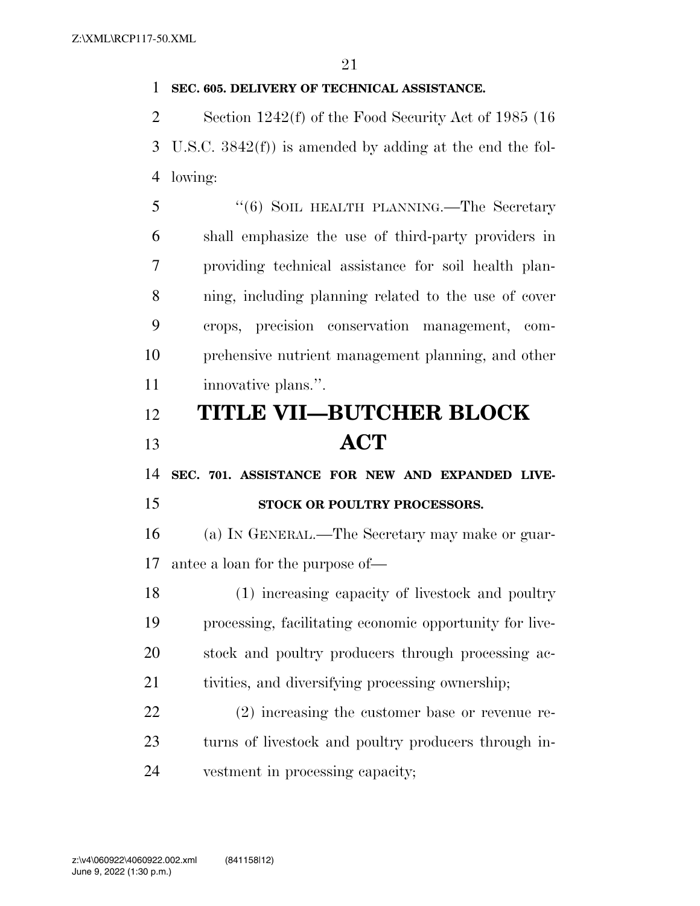### **SEC. 605. DELIVERY OF TECHNICAL ASSISTANCE.**

 Section 1242(f) of the Food Security Act of 1985 (16 U.S.C. 3842(f)) is amended by adding at the end the fol-lowing:

5 "(6) SOIL HEALTH PLANNING.—The Secretary shall emphasize the use of third-party providers in providing technical assistance for soil health plan- ning, including planning related to the use of cover crops, precision conservation management, com- prehensive nutrient management planning, and other innovative plans.''.

## **TITLE VII—BUTCHER BLOCK ACT**

 **SEC. 701. ASSISTANCE FOR NEW AND EXPANDED LIVE-STOCK OR POULTRY PROCESSORS.** 

 (a) IN GENERAL.—The Secretary may make or guar-antee a loan for the purpose of—

 (1) increasing capacity of livestock and poultry processing, facilitating economic opportunity for live- stock and poultry producers through processing ac-tivities, and diversifying processing ownership;

 (2) increasing the customer base or revenue re- turns of livestock and poultry producers through in-vestment in processing capacity;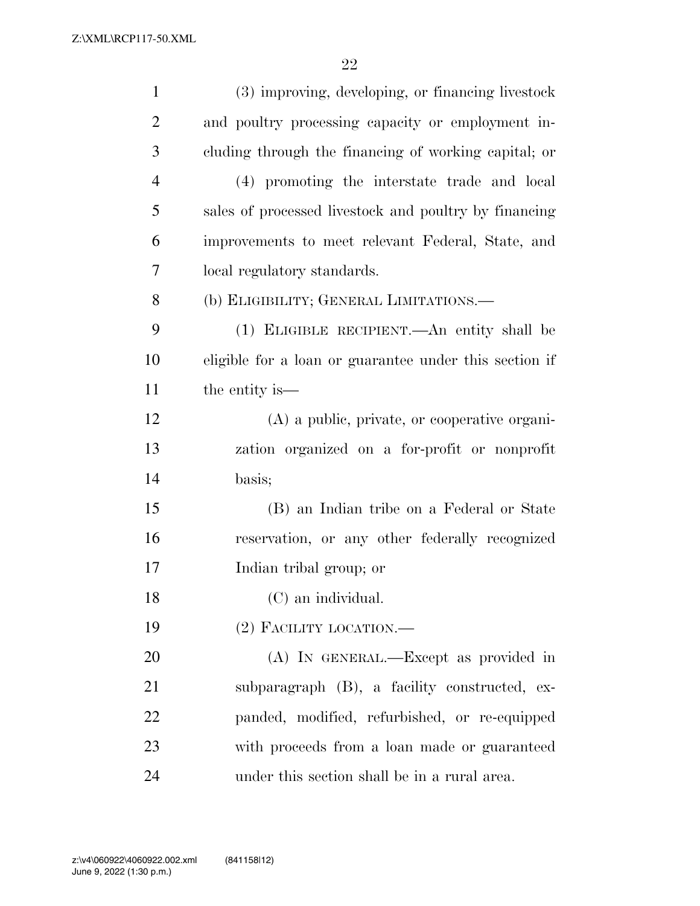| $\mathbf{1}$   | (3) improving, developing, or financing livestock      |
|----------------|--------------------------------------------------------|
| $\overline{2}$ | and poultry processing capacity or employment in-      |
| 3              | cluding through the financing of working capital; or   |
| $\overline{4}$ | (4) promoting the interstate trade and local           |
| 5              | sales of processed livestock and poultry by financing  |
| 6              | improvements to meet relevant Federal, State, and      |
| 7              | local regulatory standards.                            |
| 8              | (b) ELIGIBILITY; GENERAL LIMITATIONS.—                 |
| 9              | (1) ELIGIBLE RECIPIENT.—An entity shall be             |
| 10             | eligible for a loan or guarantee under this section if |
| 11             | the entity is—                                         |
| 12             | (A) a public, private, or cooperative organi-          |
| 13             | zation organized on a for-profit or nonprofit          |
| 14             | basis;                                                 |
| 15             | (B) an Indian tribe on a Federal or State              |
| 16             | reservation, or any other federally recognized         |
| 17             | Indian tribal group; or                                |
| 18             | (C) an individual.                                     |
| 19             | $(2)$ FACILITY LOCATION.—                              |
| 20             | (A) IN GENERAL.—Except as provided in                  |
| 21             | subparagraph (B), a facility constructed, ex-          |
| 22             | panded, modified, refurbished, or re-equipped          |
| 23             | with proceeds from a loan made or guaranteed           |
| 24             | under this section shall be in a rural area.           |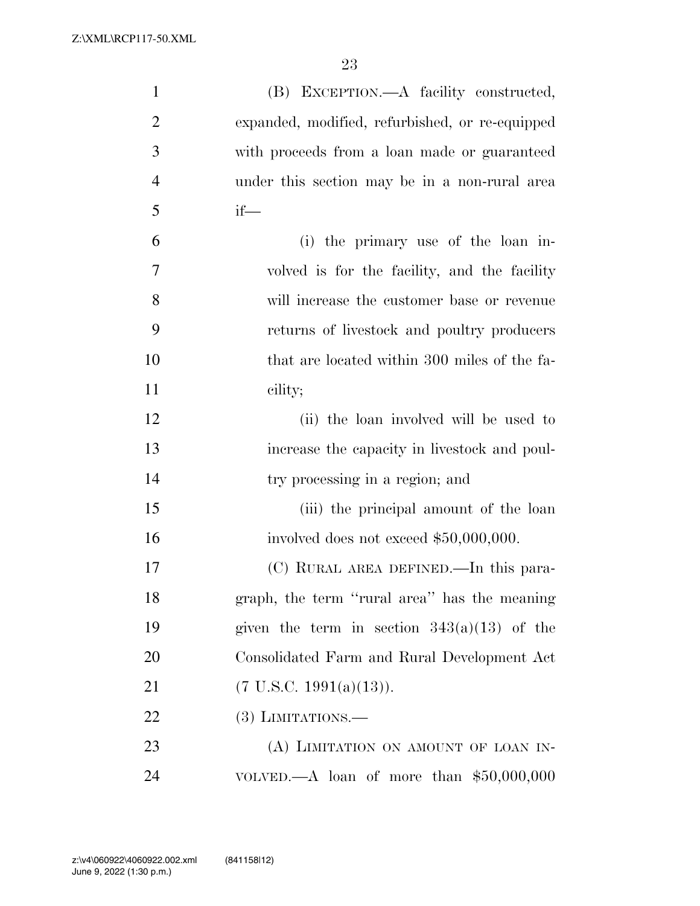| $\mathbf{1}$   | (B) EXCEPTION.—A facility constructed,          |
|----------------|-------------------------------------------------|
| $\overline{2}$ | expanded, modified, refurbished, or re-equipped |
| 3              | with proceeds from a loan made or guaranteed    |
| $\overline{4}$ | under this section may be in a non-rural area   |
| 5              | $if$ —                                          |
| 6              | (i) the primary use of the loan in-             |
| 7              | volved is for the facility, and the facility    |
| 8              | will increase the customer base or revenue      |
| 9              | returns of livestock and poultry producers      |
| 10             | that are located within 300 miles of the fa-    |
| 11             | cility;                                         |
| 12             | (ii) the loan involved will be used to          |
| 13             | increase the capacity in livestock and poul-    |
| 14             | try processing in a region; and                 |
| 15             | (iii) the principal amount of the loan          |
| 16             | involved does not exceed $$50,000,000$ .        |
| 17             | (C) RURAL AREA DEFINED.—In this para-           |
| 18             | graph, the term "rural area" has the meaning    |
| 19             | given the term in section $343(a)(13)$ of the   |
| 20             | Consolidated Farm and Rural Development Act     |
| 21             | $(7 \text{ U.S.C. } 1991(a)(13)).$              |
| 22             | $(3)$ LIMITATIONS.—                             |
| 23             | (A) LIMITATION ON AMOUNT OF LOAN IN-            |
| 24             | VOLVED.—A loan of more than $$50,000,000$       |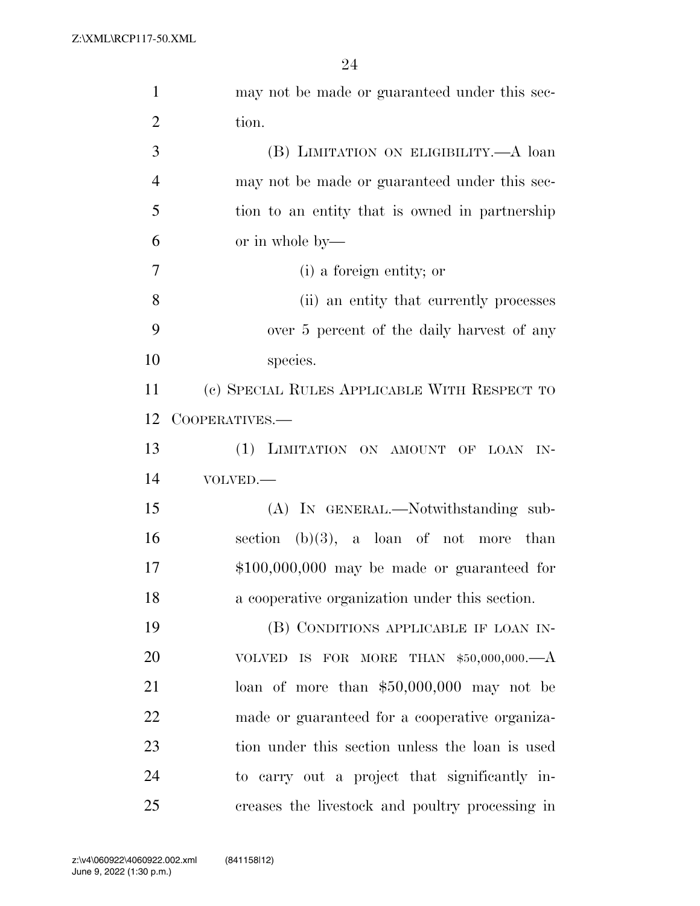| $\mathbf{1}$   | may not be made or guaranteed under this sec-   |
|----------------|-------------------------------------------------|
| $\overline{2}$ | tion.                                           |
| 3              | (B) LIMITATION ON ELIGIBILITY.—A loan           |
| $\overline{4}$ | may not be made or guaranteed under this sec-   |
| 5              | tion to an entity that is owned in partnership  |
| 6              | or in whole by—                                 |
| 7              | (i) a foreign entity; or                        |
| 8              | (ii) an entity that currently processes         |
| 9              | over 5 percent of the daily harvest of any      |
| 10             | species.                                        |
| 11             | (c) SPECIAL RULES APPLICABLE WITH RESPECT TO    |
| 12             | COOPERATIVES.-                                  |
| 13             | (1) LIMITATION ON AMOUNT OF LOAN IN-            |
| 14             | VOLVED.-                                        |
| 15             | (A) IN GENERAL.—Notwithstanding sub-            |
| 16             | section $(b)(3)$ , a loan of not more than      |
| 17             | $$100,000,000$ may be made or guaranteed for    |
| 18             | a cooperative organization under this section.  |
| 19             | (B) CONDITIONS APPLICABLE IF LOAN IN-           |
| 20             | VOLVED IS FOR MORE THAN $$50,000,000$ . $-A$    |
| 21             | loan of more than $$50,000,000$ may not be      |
| 22             | made or guaranteed for a cooperative organiza-  |
| 23             | tion under this section unless the loan is used |
| 24             | to carry out a project that significantly in-   |
| 25             | creases the livestock and poultry processing in |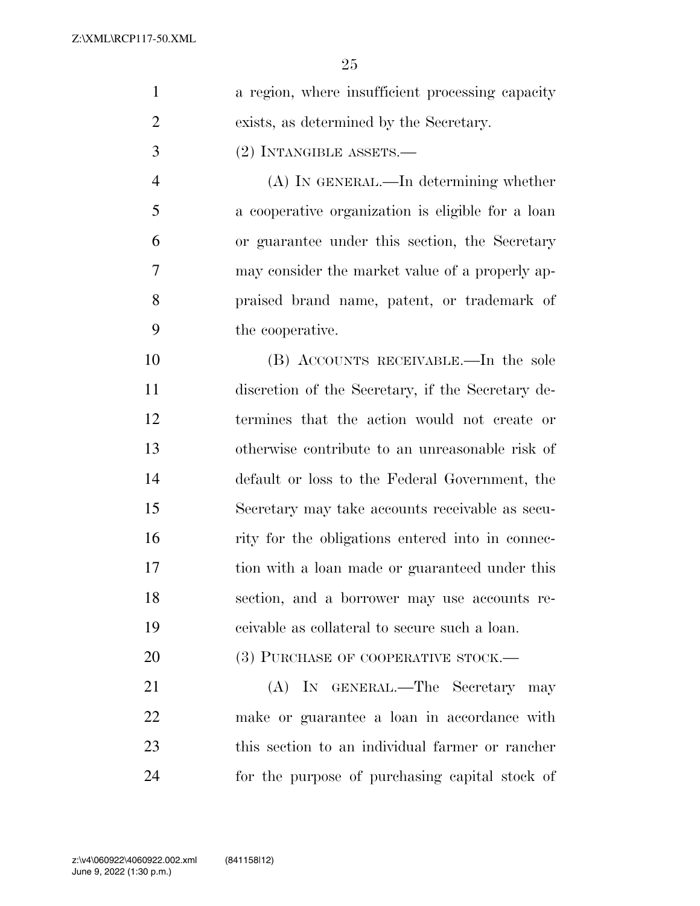| $\mathbf{1}$   | a region, where insufficient processing capacity  |
|----------------|---------------------------------------------------|
| $\overline{2}$ | exists, as determined by the Secretary.           |
| 3              | (2) INTANGIBLE ASSETS.—                           |
| $\overline{4}$ | (A) IN GENERAL.—In determining whether            |
| 5              | a cooperative organization is eligible for a loan |
| 6              | or guarantee under this section, the Secretary    |
| 7              | may consider the market value of a properly ap-   |
| 8              | praised brand name, patent, or trademark of       |
| 9              | the cooperative.                                  |
| 10             | (B) ACCOUNTS RECEIVABLE.—In the sole              |
| 11             | discretion of the Secretary, if the Secretary de- |
| 12             | termines that the action would not create or      |
| 13             | otherwise contribute to an unreasonable risk of   |
| 14             | default or loss to the Federal Government, the    |
| 15             | Secretary may take accounts receivable as secu-   |
| 16             | rity for the obligations entered into in connec-  |
| 17             | tion with a loan made or guaranteed under this    |
| 18             | section, and a borrower may use accounts re-      |
| 19             | es eivable as collateral to secure such a loan.   |
| 20             | (3) PURCHASE OF COOPERATIVE STOCK.—               |
| 21             | (A) IN GENERAL.—The Secretary may                 |
| 22             | make or guarantee a loan in accordance with       |
| 23             | this section to an individual farmer or rancher   |
| 24             | for the purpose of purchasing capital stock of    |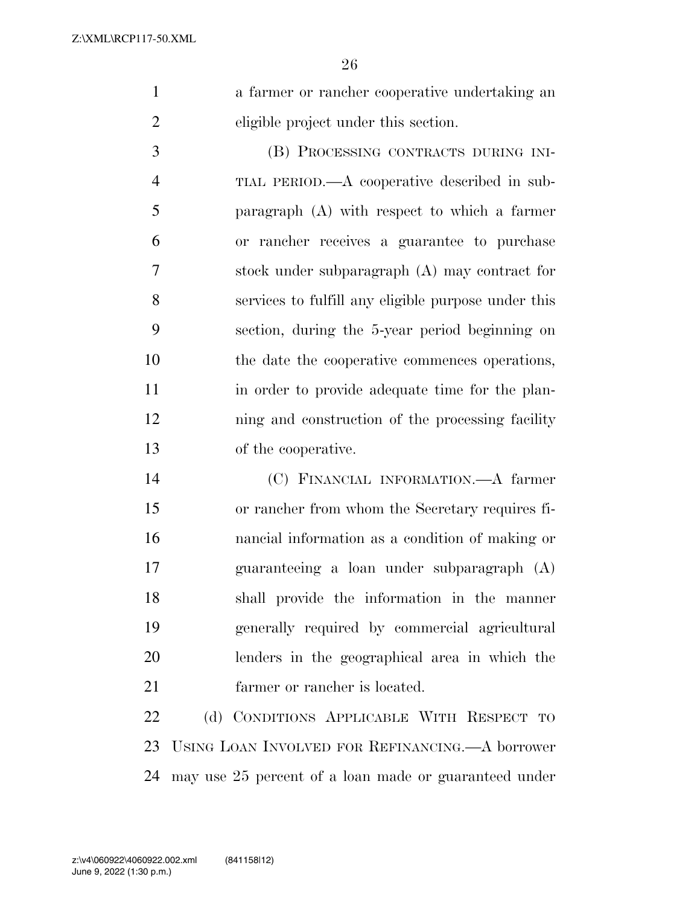a farmer or rancher cooperative undertaking an eligible project under this section.

 (B) PROCESSING CONTRACTS DURING INI- TIAL PERIOD.—A cooperative described in sub- paragraph (A) with respect to which a farmer or rancher receives a guarantee to purchase stock under subparagraph (A) may contract for services to fulfill any eligible purpose under this section, during the 5-year period beginning on the date the cooperative commences operations, in order to provide adequate time for the plan- ning and construction of the processing facility of the cooperative.

 (C) FINANCIAL INFORMATION.—A farmer or rancher from whom the Secretary requires fi- nancial information as a condition of making or guaranteeing a loan under subparagraph (A) shall provide the information in the manner generally required by commercial agricultural lenders in the geographical area in which the farmer or rancher is located.

 (d) CONDITIONS APPLICABLE WITH RESPECT TO USING LOAN INVOLVED FOR REFINANCING.—A borrower may use 25 percent of a loan made or guaranteed under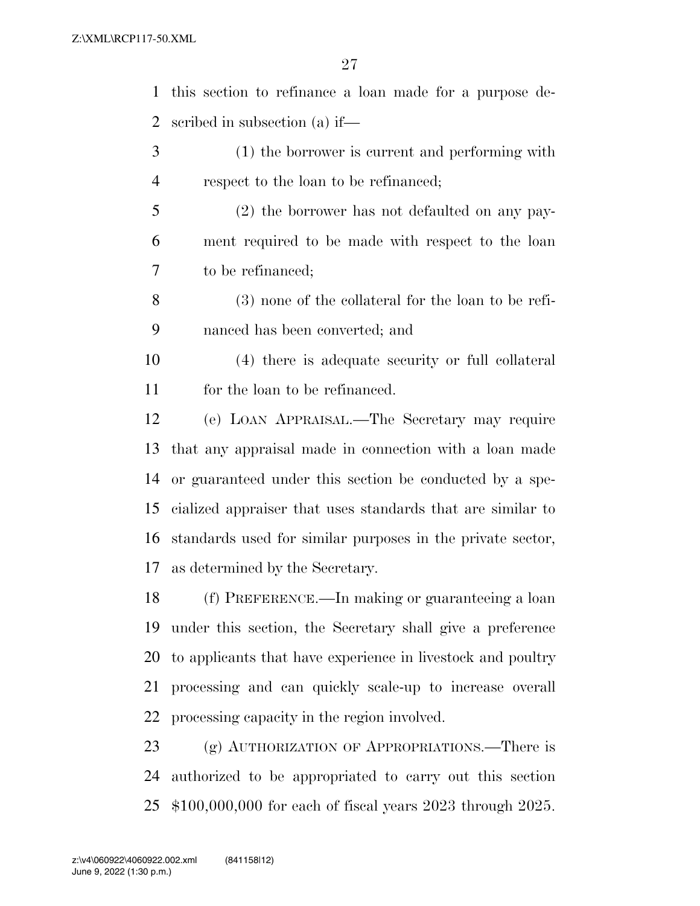| $\mathbf{1}$   | this section to refinance a loan made for a purpose de-     |
|----------------|-------------------------------------------------------------|
| 2              | scribed in subsection (a) if—                               |
| 3              | (1) the borrower is current and performing with             |
| $\overline{4}$ | respect to the loan to be refinanced;                       |
| 5              | (2) the borrower has not defaulted on any pay-              |
| 6              | ment required to be made with respect to the loan           |
| 7              | to be refinanced;                                           |
| 8              | $(3)$ none of the collateral for the loan to be refi-       |
| 9              | nanced has been converted; and                              |
| 10             | (4) there is adequate security or full collateral           |
| 11             | for the loan to be refinanced.                              |
| 12             | (e) LOAN APPRAISAL.—The Secretary may require               |
| 13             | that any appraisal made in connection with a loan made      |
| 14             | or guaranteed under this section be conducted by a spe-     |
| 15             | cialized appraiser that uses standards that are similar to  |
| 16             | standards used for similar purposes in the private sector,  |
| 17             | as determined by the Secretary.                             |
| 18             | (f) PREFERENCE.—In making or guaranteeing a loan            |
| 19             | under this section, the Secretary shall give a preference   |
| 20             | to applicants that have experience in livestock and poultry |
| 21             | processing and can quickly scale-up to increase overall     |
| 22             | processing capacity in the region involved.                 |
| 23             | (g) AUTHORIZATION OF APPROPRIATIONS.—There is               |
| 24             | authorized to be appropriated to carry out this section     |
| 25             | $$100,000,000$ for each of fiscal years 2023 through 2025.  |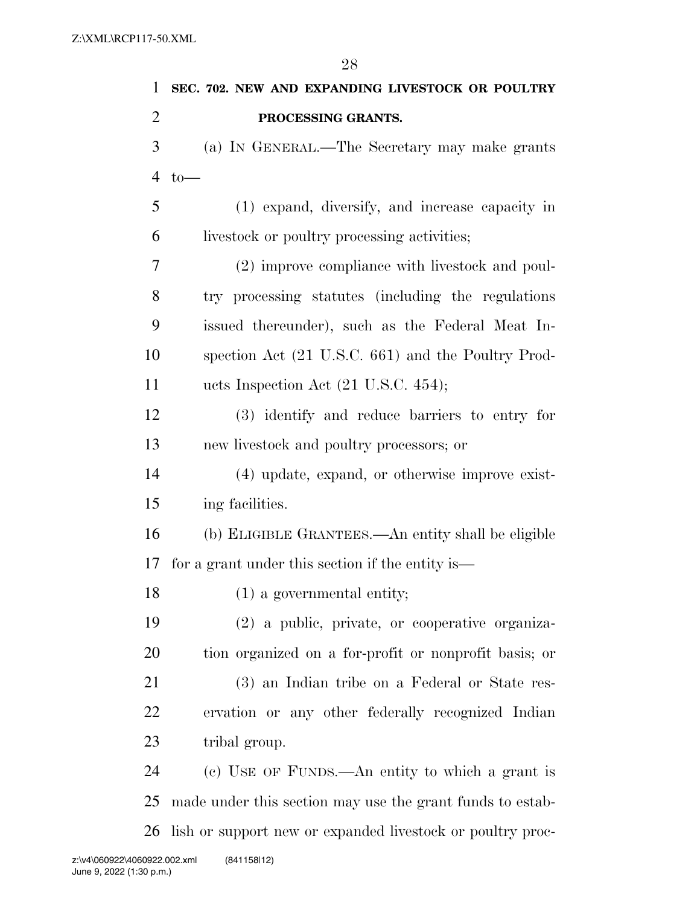**SEC. 702. NEW AND EXPANDING LIVESTOCK OR POULTRY PROCESSING GRANTS.**  (a) IN GENERAL.—The Secretary may make grants 4 to  $-$  (1) expand, diversify, and increase capacity in livestock or poultry processing activities; (2) improve compliance with livestock and poul- try processing statutes (including the regulations issued thereunder), such as the Federal Meat In- spection Act (21 U.S.C. 661) and the Poultry Prod-11 ucts Inspection Act (21 U.S.C. 454); (3) identify and reduce barriers to entry for new livestock and poultry processors; or (4) update, expand, or otherwise improve exist- ing facilities. (b) ELIGIBLE GRANTEES.—An entity shall be eligible for a grant under this section if the entity is— 18 (1) a governmental entity; (2) a public, private, or cooperative organiza- tion organized on a for-profit or nonprofit basis; or (3) an Indian tribe on a Federal or State res- ervation or any other federally recognized Indian tribal group. (c) USE OF FUNDS.—An entity to which a grant is made under this section may use the grant funds to estab-lish or support new or expanded livestock or poultry proc-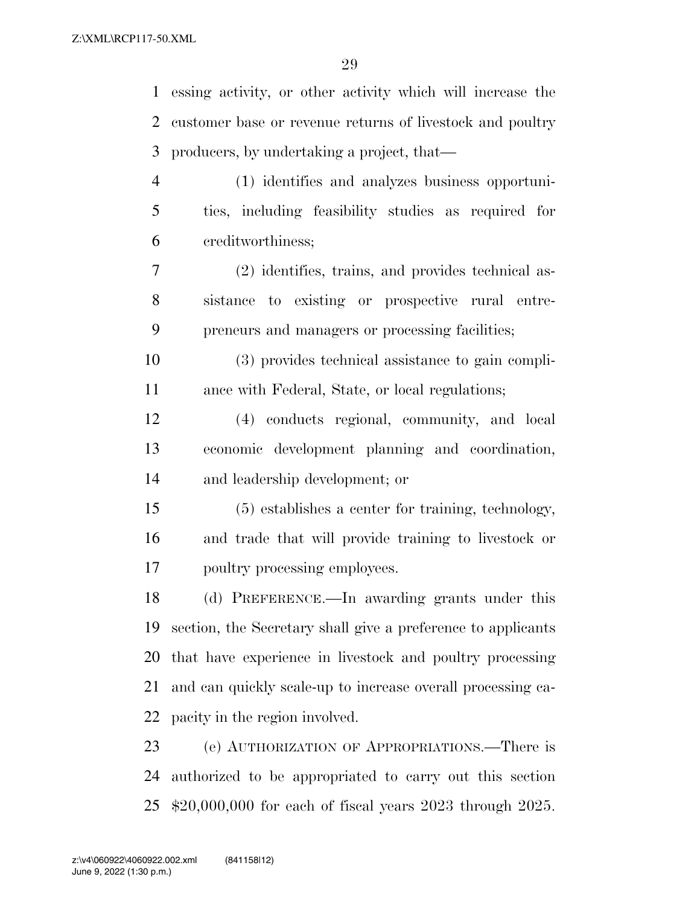| 1              | essing activity, or other activity which will increase the     |
|----------------|----------------------------------------------------------------|
| 2              | customer base or revenue returns of livestock and poultry      |
| 3              | producers, by undertaking a project, that—                     |
| $\overline{4}$ | (1) identifies and analyzes business opportuni-                |
| 5              | ties, including feasibility studies as required for            |
| 6              | creditworthiness;                                              |
| 7              | (2) identifies, trains, and provides technical as-             |
| 8              | sistance to existing or prospective rural entre-               |
| 9              | preneurs and managers or processing facilities;                |
| 10             | (3) provides technical assistance to gain compli-              |
| 11             | ance with Federal, State, or local regulations;                |
| 12             | (4) conducts regional, community, and local                    |
| 13             | economic development planning and coordination,                |
| 14             | and leadership development; or                                 |
| 15             | (5) establishes a center for training, technology,             |
| 16             | and trade that will provide training to livestock or           |
| 17             | poultry processing employees.                                  |
| 18             | (d) PREFERENCE.—In awarding grants under this                  |
| 19             | section, the Secretary shall give a preference to applicants   |
| 20             | that have experience in livestock and poultry processing       |
| 21             | and can quickly scale-up to increase overall processing ca-    |
| 22             | pacity in the region involved.                                 |
| 23             | (e) AUTHORIZATION OF APPROPRIATIONS.—There is                  |
| 24             | authorized to be appropriated to carry out this section        |
| 25             | $$20,000,000$ for each of fiscal years $2023$ through $2025$ . |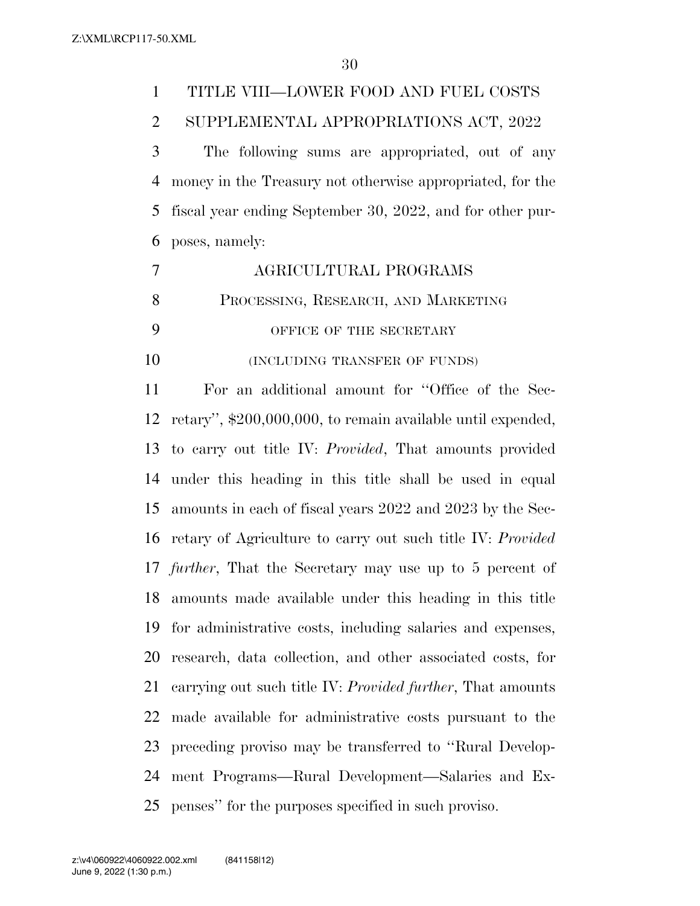| $\mathbf{1}$ | TITLE VIII—LOWER FOOD AND FUEL COSTS                              |
|--------------|-------------------------------------------------------------------|
| 2            | SUPPLEMENTAL APPROPRIATIONS ACT, 2022                             |
| 3            | The following sums are appropriated, out of any                   |
| 4            | money in the Treasury not otherwise appropriated, for the         |
| 5            | fiscal year ending September 30, 2022, and for other pur-         |
| 6            | poses, namely:                                                    |
| 7            | AGRICULTURAL PROGRAMS                                             |
| 8            | PROCESSING, RESEARCH, AND MARKETING                               |
| 9            | OFFICE OF THE SECRETARY                                           |
| 10           | (INCLUDING TRANSFER OF FUNDS)                                     |
| 11           | For an additional amount for "Office of the Sec-                  |
| 12           | retary", \$200,000,000, to remain available until expended,       |
| 13           | to carry out title IV: <i>Provided</i> , That amounts provided    |
| 14           | under this heading in this title shall be used in equal           |
| 15           | amounts in each of fiscal years 2022 and 2023 by the Sec-         |
| 16           | retary of Agriculture to carry out such title IV: Provided        |
|              | 17 <i>further</i> , That the Secretary may use up to 5 percent of |
| 18           | amounts made available under this heading in this title           |
| 19           | for administrative costs, including salaries and expenses,        |
| 20           | research, data collection, and other associated costs, for        |
| 21           | carrying out such title IV: Provided further, That amounts        |
| 22           | made available for administrative costs pursuant to the           |
| 23           | preceding proviso may be transferred to "Rural Develop-           |
| 24           | ment Programs—Rural Development—Salaries and Ex-                  |

penses'' for the purposes specified in such proviso.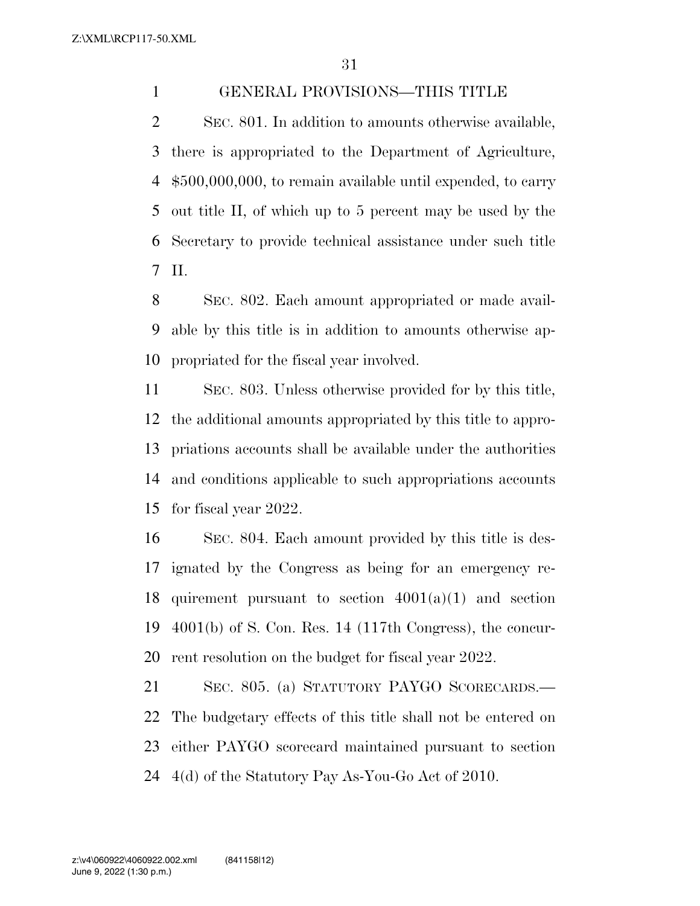### GENERAL PROVISIONS—THIS TITLE

 SEC. 801. In addition to amounts otherwise available, there is appropriated to the Department of Agriculture, \$500,000,000, to remain available until expended, to carry out title II, of which up to 5 percent may be used by the Secretary to provide technical assistance under such title II.

 SEC. 802. Each amount appropriated or made avail- able by this title is in addition to amounts otherwise ap-propriated for the fiscal year involved.

 SEC. 803. Unless otherwise provided for by this title, the additional amounts appropriated by this title to appro- priations accounts shall be available under the authorities and conditions applicable to such appropriations accounts for fiscal year 2022.

 SEC. 804. Each amount provided by this title is des- ignated by the Congress as being for an emergency re-18 quirement pursuant to section  $4001(a)(1)$  and section 4001(b) of S. Con. Res. 14 (117th Congress), the concur-rent resolution on the budget for fiscal year 2022.

 SEC. 805. (a) STATUTORY PAYGO SCORECARDS.— The budgetary effects of this title shall not be entered on either PAYGO scorecard maintained pursuant to section 4(d) of the Statutory Pay As-You-Go Act of 2010.